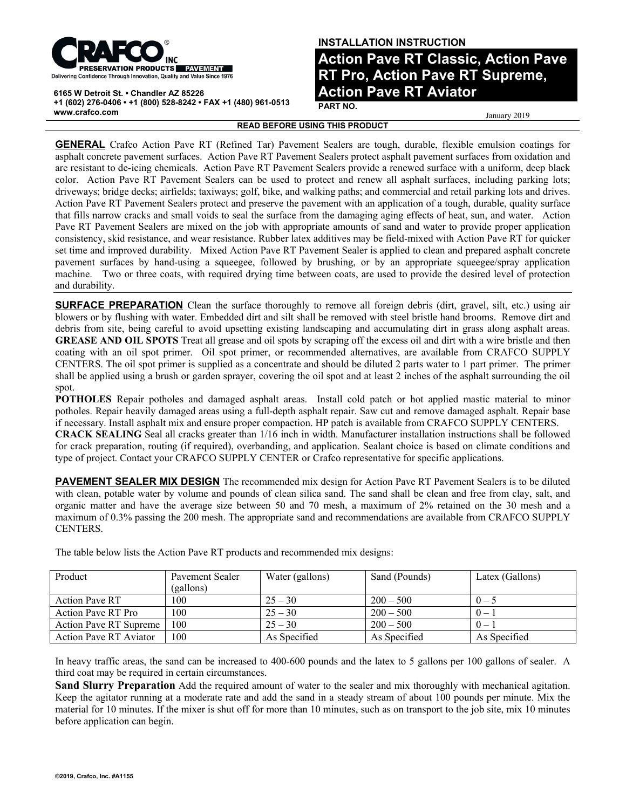

**6165 W Detroit St. • Chandler AZ 85226 +1 (602) 276-0406 • +1 (800) 528-8242 • FAX +1 (480) 961-0513 www.crafco.com**

## **INSTALLATION INSTRUCTION**

**Action Pave RT Classic, Action Pave RT Pro, Action Pave RT Supreme, Action Pave RT Aviator**

**PART NO.**

January 2019

**READ BEFORE USING THIS PRODUCT**

**GENERAL** Crafco Action Pave RT (Refined Tar) Pavement Sealers are tough, durable, flexible emulsion coatings for asphalt concrete pavement surfaces. Action Pave RT Pavement Sealers protect asphalt pavement surfaces from oxidation and are resistant to de-icing chemicals. Action Pave RT Pavement Sealers provide a renewed surface with a uniform, deep black color. Action Pave RT Pavement Sealers can be used to protect and renew all asphalt surfaces, including parking lots; driveways; bridge decks; airfields; taxiways; golf, bike, and walking paths; and commercial and retail parking lots and drives. Action Pave RT Pavement Sealers protect and preserve the pavement with an application of a tough, durable, quality surface that fills narrow cracks and small voids to seal the surface from the damaging aging effects of heat, sun, and water. Action Pave RT Pavement Sealers are mixed on the job with appropriate amounts of sand and water to provide proper application consistency, skid resistance, and wear resistance. Rubber latex additives may be field-mixed with Action Pave RT for quicker set time and improved durability. Mixed Action Pave RT Pavement Sealer is applied to clean and prepared asphalt concrete pavement surfaces by hand-using a squeegee, followed by brushing, or by an appropriate squeegee/spray application machine. Two or three coats, with required drying time between coats, are used to provide the desired level of protection and durability.

**SURFACE PREPARATION** Clean the surface thoroughly to remove all foreign debris (dirt, gravel, silt, etc.) using air blowers or by flushing with water. Embedded dirt and silt shall be removed with steel bristle hand brooms. Remove dirt and debris from site, being careful to avoid upsetting existing landscaping and accumulating dirt in grass along asphalt areas. **GREASE AND OIL SPOTS** Treat all grease and oil spots by scraping off the excess oil and dirt with a wire bristle and then coating with an oil spot primer. Oil spot primer, or recommended alternatives, are available from CRAFCO SUPPLY CENTERS. The oil spot primer is supplied as a concentrate and should be diluted 2 parts water to 1 part primer. The primer shall be applied using a brush or garden sprayer, covering the oil spot and at least 2 inches of the asphalt surrounding the oil spot.

**POTHOLES** Repair potholes and damaged asphalt areas. Install cold patch or hot applied mastic material to minor potholes. Repair heavily damaged areas using a full-depth asphalt repair. Saw cut and remove damaged asphalt. Repair base if necessary. Install asphalt mix and ensure proper compaction. HP patch is available from CRAFCO SUPPLY CENTERS. **CRACK SEALING** Seal all cracks greater than 1/16 inch in width. Manufacturer installation instructions shall be followed for crack preparation, routing (if required), overbanding, and application. Sealant choice is based on climate conditions and type of project. Contact your CRAFCO SUPPLY CENTER or Crafco representative for specific applications.

**PAVEMENT SEALER MIX DESIGN** The recommended mix design for Action Pave RT Pavement Sealers is to be diluted with clean, potable water by volume and pounds of clean silica sand. The sand shall be clean and free from clay, salt, and organic matter and have the average size between 50 and 70 mesh, a maximum of 2% retained on the 30 mesh and a maximum of 0.3% passing the 200 mesh. The appropriate sand and recommendations are available from CRAFCO SUPPLY CENTERS.

| Product                       | Pavement Sealer<br>(gallons) | Water (gallons) | Sand (Pounds) | Latex (Gallons) |
|-------------------------------|------------------------------|-----------------|---------------|-----------------|
| <b>Action Pave RT</b>         | 100                          | $25 - 30$       | $200 - 500$   | $0 - 5$         |
| Action Pave RT Pro            | 100                          | $25 - 30$       | $200 - 500$   | $0 -$           |
| <b>Action Pave RT Supreme</b> | 100                          | $25 - 30$       | $200 - 500$   | $0 -$           |
| <b>Action Pave RT Aviator</b> | 100                          | As Specified    | As Specified  | As Specified    |

The table below lists the Action Pave RT products and recommended mix designs:

In heavy traffic areas, the sand can be increased to 400-600 pounds and the latex to 5 gallons per 100 gallons of sealer. A third coat may be required in certain circumstances.

**Sand Slurry Preparation** Add the required amount of water to the sealer and mix thoroughly with mechanical agitation. Keep the agitator running at a moderate rate and add the sand in a steady stream of about 100 pounds per minute. Mix the material for 10 minutes. If the mixer is shut off for more than 10 minutes, such as on transport to the job site, mix 10 minutes before application can begin.